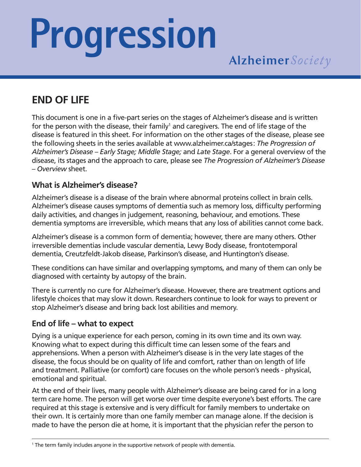# **Progression**

### **END OF LIFE**

This document is one in a five-part series on the stages of Alzheimer's disease and is written for the person with the disease, their family<sup>1</sup> and caregivers. The end of life stage of the disease is featured in this sheet. For information on the other stages of the disease, please see the following sheets in the series available at www.alzheimer.ca/stages: *The Progression of Alzheimer's Disease – Early Stage; Middle Stage;* and *Late Stage*. For a general overview of the disease, its stages and the approach to care, please see *The Progression of Alzheimer's Disease – Overview* sheet.

#### **What is Alzheimer's disease?**

Alzheimer's disease is a disease of the brain where abnormal proteins collect in brain cells. Alzheimer's disease causes symptoms of dementia such as memory loss, difficulty performing daily activities, and changes in judgement, reasoning, behaviour, and emotions. These dementia symptoms are irreversible, which means that any loss of abilities cannot come back.

Alzheimer's disease is a common form of dementia; however, there are many others. Other irreversible dementias include vascular dementia, Lewy Body disease, frontotemporal dementia, Creutzfeldt-Jakob disease, Parkinson's disease, and Huntington's disease.

These conditions can have similar and overlapping symptoms, and many of them can only be diagnosed with certainty by autopsy of the brain.

There is currently no cure for Alzheimer's disease. However, there are treatment options and lifestyle choices that may slow it down. Researchers continue to look for ways to prevent or stop Alzheimer's disease and bring back lost abilities and memory.

#### **End of life – what to expect**

Dying is a unique experience for each person, coming in its own time and its own way. Knowing what to expect during this difficult time can lessen some of the fears and apprehensions. When a person with Alzheimer's disease is in the very late stages of the disease, the focus should be on quality of life and comfort, rather than on length of life and treatment. Palliative (or comfort) care focuses on the whole person's needs - physical, emotional and spiritual.

At the end of their lives, many people with Alzheimer's disease are being cared for in a long term care home. The person will get worse over time despite everyone's best efforts. The care required at this stage is extensive and is very difficult for family members to undertake on their own. It is certainly more than one family member can manage alone. If the decision is made to have the person die at home, it is important that the physician refer the person to

<sup>1</sup> The term family includes anyone in the supportive network of people with dementia.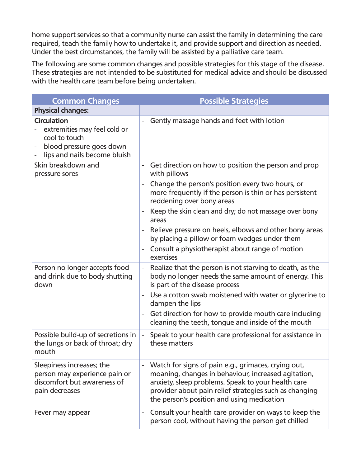home support services so that a community nurse can assist the family in determining the care required, teach the family how to undertake it, and provide support and direction as needed. Under the best circumstances, the family will be assisted by a palliative care team.

The following are some common changes and possible strategies for this stage of the disease. These strategies are not intended to be substituted for medical advice and should be discussed with the health care team before being undertaken.

| <b>Common Changes</b>                                                                                                           | <b>Possible Strategies</b>                                                                                                                                                                                                                                               |
|---------------------------------------------------------------------------------------------------------------------------------|--------------------------------------------------------------------------------------------------------------------------------------------------------------------------------------------------------------------------------------------------------------------------|
| <b>Physical changes:</b>                                                                                                        |                                                                                                                                                                                                                                                                          |
| <b>Circulation</b><br>extremities may feel cold or<br>cool to touch<br>blood pressure goes down<br>lips and nails become bluish | Gently massage hands and feet with lotion                                                                                                                                                                                                                                |
| Skin breakdown and<br>pressure sores                                                                                            | Get direction on how to position the person and prop<br>$\overline{\phantom{a}}$<br>with pillows                                                                                                                                                                         |
|                                                                                                                                 | Change the person's position every two hours, or<br>more frequently if the person is thin or has persistent<br>reddening over bony areas                                                                                                                                 |
|                                                                                                                                 | Keep the skin clean and dry; do not massage over bony<br>areas                                                                                                                                                                                                           |
|                                                                                                                                 | Relieve pressure on heels, elbows and other bony areas<br>by placing a pillow or foam wedges under them                                                                                                                                                                  |
|                                                                                                                                 | Consult a physiotherapist about range of motion<br>exercises                                                                                                                                                                                                             |
| Person no longer accepts food<br>and drink due to body shutting<br>down                                                         | Realize that the person is not starving to death, as the<br>$\overline{\phantom{a}}$<br>body no longer needs the same amount of energy. This<br>is part of the disease process                                                                                           |
|                                                                                                                                 | Use a cotton swab moistened with water or glycerine to<br>dampen the lips                                                                                                                                                                                                |
|                                                                                                                                 | Get direction for how to provide mouth care including<br>cleaning the teeth, tongue and inside of the mouth                                                                                                                                                              |
| Possible build-up of secretions in<br>the lungs or back of throat; dry<br>mouth                                                 | Speak to your health care professional for assistance in<br>$\overline{\phantom{a}}$<br>these matters                                                                                                                                                                    |
| Sleepiness increases; the<br>person may experience pain or<br>discomfort but awareness of<br>pain decreases                     | Watch for signs of pain e.g., grimaces, crying out,<br>moaning, changes in behaviour, increased agitation,<br>anxiety, sleep problems. Speak to your health care<br>provider about pain relief strategies such as changing<br>the person's position and using medication |
| Fever may appear                                                                                                                | Consult your health care provider on ways to keep the<br>person cool, without having the person get chilled                                                                                                                                                              |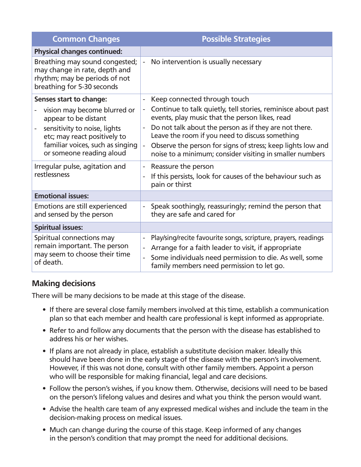| <b>Common Changes</b>                                                                                                          | <b>Possible Strategies</b>                                                                                                                                                                                                                                                                  |
|--------------------------------------------------------------------------------------------------------------------------------|---------------------------------------------------------------------------------------------------------------------------------------------------------------------------------------------------------------------------------------------------------------------------------------------|
| <b>Physical changes continued:</b>                                                                                             |                                                                                                                                                                                                                                                                                             |
| Breathing may sound congested;<br>may change in rate, depth and<br>rhythm; may be periods of not<br>breathing for 5-30 seconds | No intervention is usually necessary<br>$\blacksquare$                                                                                                                                                                                                                                      |
| Senses start to change:                                                                                                        | Keep connected through touch<br>$\overline{\phantom{0}}$                                                                                                                                                                                                                                    |
| vision may become blurred or<br>appear to be distant                                                                           | Continue to talk quietly, tell stories, reminisce about past<br>$\overline{\phantom{a}}$<br>events, play music that the person likes, read                                                                                                                                                  |
| sensitivity to noise, lights<br>etc; may react positively to                                                                   | Do not talk about the person as if they are not there.<br>Leave the room if you need to discuss something                                                                                                                                                                                   |
| familiar voices, such as singing<br>or someone reading aloud                                                                   | Observe the person for signs of stress; keep lights low and<br>÷,<br>noise to a minimum; consider visiting in smaller numbers                                                                                                                                                               |
| Irregular pulse, agitation and                                                                                                 | Reassure the person<br>$\overline{\phantom{a}}$                                                                                                                                                                                                                                             |
| restlessness                                                                                                                   | If this persists, look for causes of the behaviour such as<br>÷,<br>pain or thirst                                                                                                                                                                                                          |
| <b>Emotional issues:</b>                                                                                                       |                                                                                                                                                                                                                                                                                             |
| Emotions are still experienced<br>and sensed by the person                                                                     | Speak soothingly, reassuringly; remind the person that<br>$\blacksquare$<br>they are safe and cared for                                                                                                                                                                                     |
| <b>Spiritual issues:</b>                                                                                                       |                                                                                                                                                                                                                                                                                             |
| Spiritual connections may<br>remain important. The person<br>may seem to choose their time<br>of death.                        | Play/sing/recite favourite songs, scripture, prayers, readings<br>$\overline{\phantom{a}}$<br>Arrange for a faith leader to visit, if appropriate<br>$\blacksquare$<br>Some individuals need permission to die. As well, some<br>$\frac{1}{2}$<br>family members need permission to let go. |

#### **Making decisions**

There will be many decisions to be made at this stage of the disease.

- If there are several close family members involved at this time, establish a communication plan so that each member and health care professional is kept informed as appropriate.
- Refer to and follow any documents that the person with the disease has established to address his or her wishes.
- If plans are not already in place, establish a substitute decision maker. Ideally this should have been done in the early stage of the disease with the person's involvement. However, if this was not done, consult with other family members. Appoint a person who will be responsible for making financial, legal and care decisions.
- Follow the person's wishes, if you know them. Otherwise, decisions will need to be based on the person's lifelong values and desires and what you think the person would want.
- Advise the health care team of any expressed medical wishes and include the team in the decision-making process on medical issues.
- Much can change during the course of this stage. Keep informed of any changes in the person's condition that may prompt the need for additional decisions.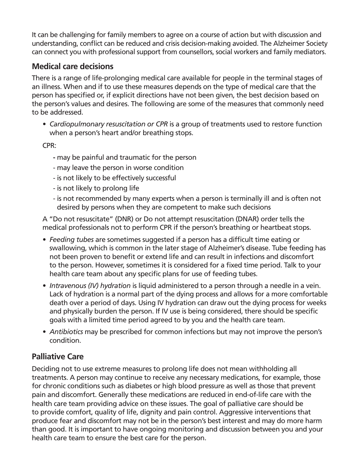It can be challenging for family members to agree on a course of action but with discussion and understanding, conflict can be reduced and crisis decision-making avoided. The Alzheimer Society can connect you with professional support from counsellors, social workers and family mediators.

#### **Medical care decisions**

There is a range of life-prolonging medical care available for people in the terminal stages of an illness. When and if to use these measures depends on the type of medical care that the person has specified or, if explicit directions have not been given, the best decision based on the person's values and desires. The following are some of the measures that commonly need to be addressed.

*• Cardiopulmonary resuscitation or CPR* is a group of treatments used to restore function when a person's heart and/or breathing stops.

CPR:

- may be painful and traumatic for the person
- may leave the person in worse condition
- is not likely to be effectively successful
- is not likely to prolong life
- is not recommended by many experts when a person is terminally ill and is often not desired by persons when they are competent to make such decisions

A "Do not resuscitate" (DNR) or Do not attempt resuscitation (DNAR) order tells the medical professionals not to perform CPR if the person's breathing or heartbeat stops.

- *• Feeding tubes* are sometimes suggested if a person has a difficult time eating or swallowing, which is common in the later stage of Alzheimer's disease. Tube feeding has not been proven to benefit or extend life and can result in infections and discomfort to the person. However, sometimes it is considered for a fixed time period. Talk to your health care team about any specific plans for use of feeding tubes.
- *• Intravenous (IV) hydration* is liquid administered to a person through a needle in a vein. Lack of hydration is a normal part of the dying process and allows for a more comfortable death over a period of days. Using IV hydration can draw out the dying process for weeks and physically burden the person. If IV use is being considered, there should be specific goals with a limited time period agreed to by you and the health care team.
- *• Antibiotics* may be prescribed for common infections but may not improve the person's condition.

#### **Palliative Care**

Deciding not to use extreme measures to prolong life does not mean withholding all treatments. A person may continue to receive any necessary medications, for example, those for chronic conditions such as diabetes or high blood pressure as well as those that prevent pain and discomfort. Generally these medications are reduced in end-of-life care with the health care team providing advice on these issues. The goal of palliative care should be to provide comfort, quality of life, dignity and pain control. Aggressive interventions that produce fear and discomfort may not be in the person's best interest and may do more harm than good. It is important to have ongoing monitoring and discussion between you and your health care team to ensure the best care for the person.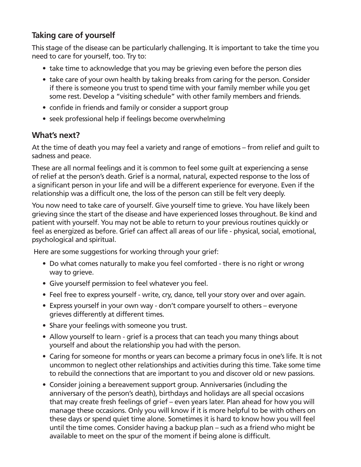#### **Taking care of yourself**

This stage of the disease can be particularly challenging. It is important to take the time you need to care for yourself, too. Try to:

- take time to acknowledge that you may be grieving even before the person dies
- take care of your own health by taking breaks from caring for the person. Consider if there is someone you trust to spend time with your family member while you get some rest. Develop a "visiting schedule" with other family members and friends.
- confide in friends and family or consider a support group
- seek professional help if feelings become overwhelming

#### **What's next?**

At the time of death you may feel a variety and range of emotions – from relief and guilt to sadness and peace.

These are all normal feelings and it is common to feel some guilt at experiencing a sense of relief at the person's death. Grief is a normal, natural, expected response to the loss of a significant person in your life and will be a different experience for everyone. Even if the relationship was a difficult one, the loss of the person can still be felt very deeply.

You now need to take care of yourself. Give yourself time to grieve. You have likely been grieving since the start of the disease and have experienced losses throughout. Be kind and patient with yourself. You may not be able to return to your previous routines quickly or feel as energized as before. Grief can affect all areas of our life - physical, social, emotional, psychological and spiritual.

Here are some suggestions for working through your grief:

- Do what comes naturally to make you feel comforted there is no right or wrong way to grieve.
- Give yourself permission to feel whatever you feel.
- Feel free to express yourself write, cry, dance, tell your story over and over again.
- Express yourself in your own way don't compare yourself to others everyone grieves differently at different times.
- Share your feelings with someone you trust.
- Allow yourself to learn grief is a process that can teach you many things about yourself and about the relationship you had with the person.
- Caring for someone for months or years can become a primary focus in one's life. It is not uncommon to neglect other relationships and activities during this time. Take some time to rebuild the connections that are important to you and discover old or new passions.
- Consider joining a bereavement support group. Anniversaries (including the anniversary of the person's death), birthdays and holidays are all special occasions that may create fresh feelings of grief – even years later. Plan ahead for how you will manage these occasions. Only you will know if it is more helpful to be with others on these days or spend quiet time alone. Sometimes it is hard to know how you will feel until the time comes. Consider having a backup plan – such as a friend who might be available to meet on the spur of the moment if being alone is difficult.